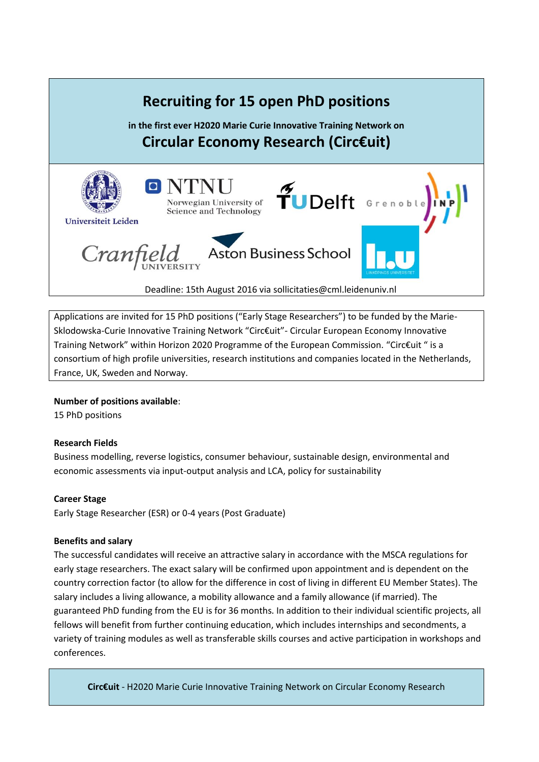

Applications are invited for 15 PhD positions ("Early Stage Researchers") to be funded by the Marie-Sklodowska-Curie Innovative Training Network "Circ€uit"- Circular European Economy Innovative Training Network" within Horizon 2020 Programme of the European Commission. "Circ€uit " is a consortium of high profile universities, research institutions and companies located in the Netherlands, France, UK, Sweden and Norway.

### **Number of positions available**:

15 PhD positions

### **Research Fields**

Business modelling, reverse logistics, consumer behaviour, sustainable design, environmental and economic assessments via input-output analysis and LCA, policy for sustainability

#### **Career Stage**

Early Stage Researcher (ESR) or 0-4 years (Post Graduate)

#### **Benefits and salary**

The successful candidates will receive an attractive salary in accordance with the MSCA regulations for early stage researchers. The exact salary will be confirmed upon appointment and is dependent on the country correction factor (to allow for the difference in cost of living in different EU Member States). The salary includes a living allowance, a mobility allowance and a family allowance (if married). The guaranteed PhD funding from the EU is for 36 months. In addition to their individual scientific projects, all fellows will benefit from further continuing education, which includes internships and secondments, a variety of training modules as well as transferable skills courses and active participation in workshops and conferences.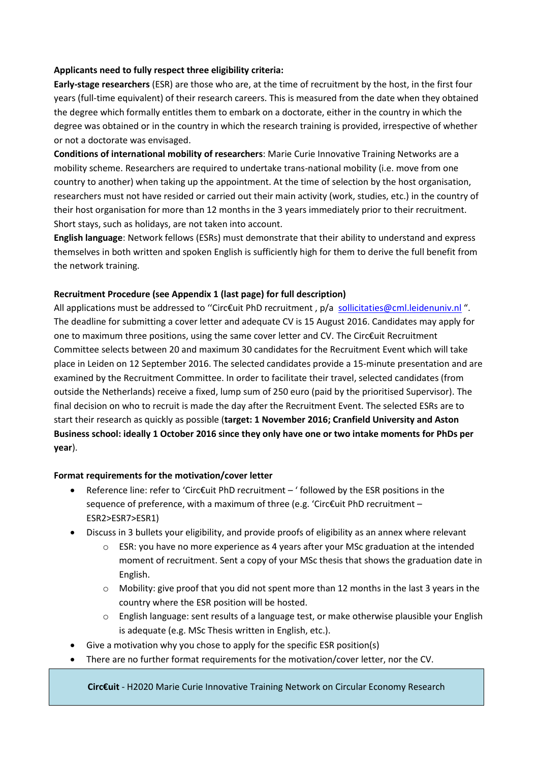#### **Applicants need to fully respect three eligibility criteria:**

**Early-stage researchers** (ESR) are those who are, at the time of recruitment by the host, in the first four years (full-time equivalent) of their research careers. This is measured from the date when they obtained the degree which formally entitles them to embark on a doctorate, either in the country in which the degree was obtained or in the country in which the research training is provided, irrespective of whether or not a doctorate was envisaged.

**Conditions of international mobility of researchers**: Marie Curie Innovative Training Networks are a mobility scheme. Researchers are required to undertake trans-national mobility (i.e. move from one country to another) when taking up the appointment. At the time of selection by the host organisation, researchers must not have resided or carried out their main activity (work, studies, etc.) in the country of their host organisation for more than 12 months in the 3 years immediately prior to their recruitment. Short stays, such as holidays, are not taken into account.

**English language**: Network fellows (ESRs) must demonstrate that their ability to understand and express themselves in both written and spoken English is sufficiently high for them to derive the full benefit from the network training.

#### **Recruitment Procedure (see Appendix 1 (last page) for full description)**

All applications must be addressed to "Circ€uit PhD recruitment, p/a [sollicitaties@cml.leidenuniv.nl](mailto:sollicitaties@cml.leidenuniv.nl)". The deadline for submitting a cover letter and adequate CV is 15 August 2016. Candidates may apply for one to maximum three positions, using the same cover letter and CV. The Circ€uit Recruitment Committee selects between 20 and maximum 30 candidates for the Recruitment Event which will take place in Leiden on 12 September 2016. The selected candidates provide a 15-minute presentation and are examined by the Recruitment Committee. In order to facilitate their travel, selected candidates (from outside the Netherlands) receive a fixed, lump sum of 250 euro (paid by the prioritised Supervisor). The final decision on who to recruit is made the day after the Recruitment Event. The selected ESRs are to start their research as quickly as possible (**target: 1 November 2016; Cranfield University and Aston Business school: ideally 1 October 2016 since they only have one or two intake moments for PhDs per year**).

#### **Format requirements for the motivation/cover letter**

- Reference line: refer to 'Circ€uit PhD recruitment ' followed by the ESR positions in the sequence of preference, with a maximum of three (e.g. 'Circ€uit PhD recruitment – ESR2>ESR7>ESR1)
- Discuss in 3 bullets your eligibility, and provide proofs of eligibility as an annex where relevant
	- o ESR: you have no more experience as 4 years after your MSc graduation at the intended moment of recruitment. Sent a copy of your MSc thesis that shows the graduation date in English.
	- $\circ$  Mobility: give proof that you did not spent more than 12 months in the last 3 years in the country where the ESR position will be hosted.
	- $\circ$  English language: sent results of a language test, or make otherwise plausible your English is adequate (e.g. MSc Thesis written in English, etc.).
- Give a motivation why you chose to apply for the specific ESR position(s)
- There are no further format requirements for the motivation/cover letter, nor the CV.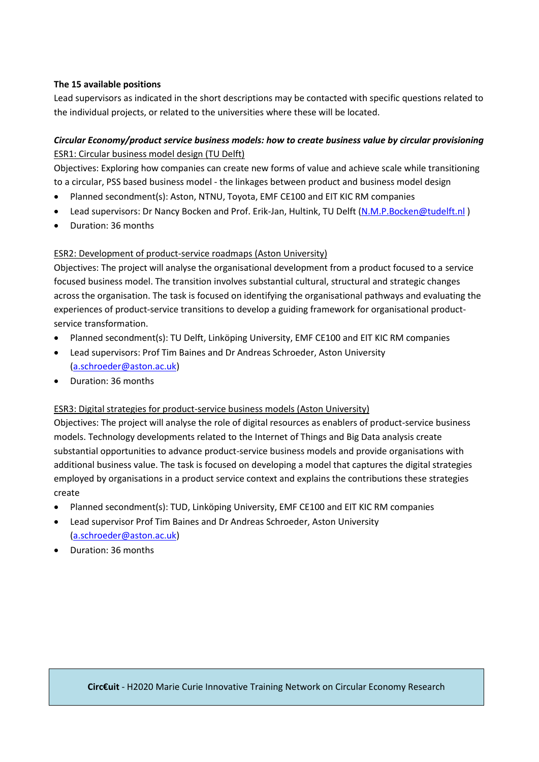### **The 15 available positions**

Lead supervisors as indicated in the short descriptions may be contacted with specific questions related to the individual projects, or related to the universities where these will be located.

# *Circular Economy/product service business models: how to create business value by circular provisioning* ESR1: Circular business model design (TU Delft)

Objectives: Exploring how companies can create new forms of value and achieve scale while transitioning to a circular, PSS based business model - the linkages between product and business model design

- Planned secondment(s): Aston, NTNU, Toyota, EMF CE100 and EIT KIC RM companies
- Lead supervisors: Dr Nancy Bocken and Prof. Erik-Jan, Hultink, TU Delft (N.M.P.Bocken@tudelft.nl)
- Duration: 36 months

## ESR2: Development of product-service roadmaps (Aston University)

Objectives: The project will analyse the organisational development from a product focused to a service focused business model. The transition involves substantial cultural, structural and strategic changes across the organisation. The task is focused on identifying the organisational pathways and evaluating the experiences of product-service transitions to develop a guiding framework for organisational productservice transformation.

- Planned secondment(s): TU Delft, Linköping University, EMF CE100 and EIT KIC RM companies
- Lead supervisors: Prof Tim Baines and Dr Andreas Schroeder, Aston University [\(a.schroeder@aston.ac.uk\)](mailto:a.schroeder@aston.ac.uk)
- Duration: 36 months

### ESR3: Digital strategies for product-service business models (Aston University)

Objectives: The project will analyse the role of digital resources as enablers of product-service business models. Technology developments related to the Internet of Things and Big Data analysis create substantial opportunities to advance product-service business models and provide organisations with additional business value. The task is focused on developing a model that captures the digital strategies employed by organisations in a product service context and explains the contributions these strategies create

- Planned secondment(s): TUD, Linköping University, EMF CE100 and EIT KIC RM companies
- Lead supervisor Prof Tim Baines and Dr Andreas Schroeder, Aston University [\(a.schroeder@aston.ac.uk\)](mailto:a.schroeder@aston.ac.uk)
- Duration: 36 months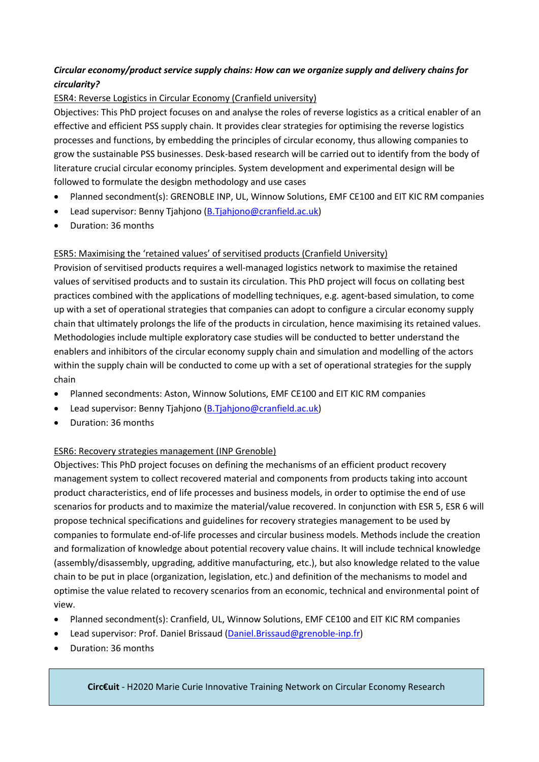# *Circular economy/product service supply chains: How can we organize supply and delivery chains for circularity?*

## ESR4: Reverse Logistics in Circular Economy (Cranfield university)

Objectives: This PhD project focuses on and analyse the roles of reverse logistics as a critical enabler of an effective and efficient PSS supply chain. It provides clear strategies for optimising the reverse logistics processes and functions, by embedding the principles of circular economy, thus allowing companies to grow the sustainable PSS businesses. Desk-based research will be carried out to identify from the body of literature crucial circular economy principles. System development and experimental design will be followed to formulate the desigbn methodology and use cases

- Planned secondment(s): GRENOBLE INP, UL, Winnow Solutions, EMF CE100 and EIT KIC RM companies
- Lead supervisor: Benny Tjahjono [\(B.Tjahjono@cranfield.ac.uk\)](mailto:B.Tjahjono@cranfield.ac.uk)
- Duration: 36 months

## ESR5: Maximising the 'retained values' of servitised products (Cranfield University)

Provision of servitised products requires a well-managed logistics network to maximise the retained values of servitised products and to sustain its circulation. This PhD project will focus on collating best practices combined with the applications of modelling techniques, e.g. agent-based simulation, to come up with a set of operational strategies that companies can adopt to configure a circular economy supply chain that ultimately prolongs the life of the products in circulation, hence maximising its retained values. Methodologies include multiple exploratory case studies will be conducted to better understand the enablers and inhibitors of the circular economy supply chain and simulation and modelling of the actors within the supply chain will be conducted to come up with a set of operational strategies for the supply chain

- Planned secondments: Aston, Winnow Solutions, EMF CE100 and EIT KIC RM companies
- Lead supervisor: Benny Tjahjono [\(B.Tjahjono@cranfield.ac.uk\)](mailto:B.Tjahjono@cranfield.ac.uk)
- Duration: 36 months

### ESR6: Recovery strategies management (INP Grenoble)

Objectives: This PhD project focuses on defining the mechanisms of an efficient product recovery management system to collect recovered material and components from products taking into account product characteristics, end of life processes and business models, in order to optimise the end of use scenarios for products and to maximize the material/value recovered. In conjunction with ESR 5, ESR 6 will propose technical specifications and guidelines for recovery strategies management to be used by companies to formulate end-of-life processes and circular business models. Methods include the creation and formalization of knowledge about potential recovery value chains. It will include technical knowledge (assembly/disassembly, upgrading, additive manufacturing, etc.), but also knowledge related to the value chain to be put in place (organization, legislation, etc.) and definition of the mechanisms to model and optimise the value related to recovery scenarios from an economic, technical and environmental point of view.

- Planned secondment(s): Cranfield, UL, Winnow Solutions, EMF CE100 and EIT KIC RM companies
- Lead supervisor: Prof. Daniel Brissaud [\(Daniel.Brissaud@grenoble-inp.fr\)](mailto:Daniel.Brissaud@grenoble-inp.fr)
- Duration: 36 months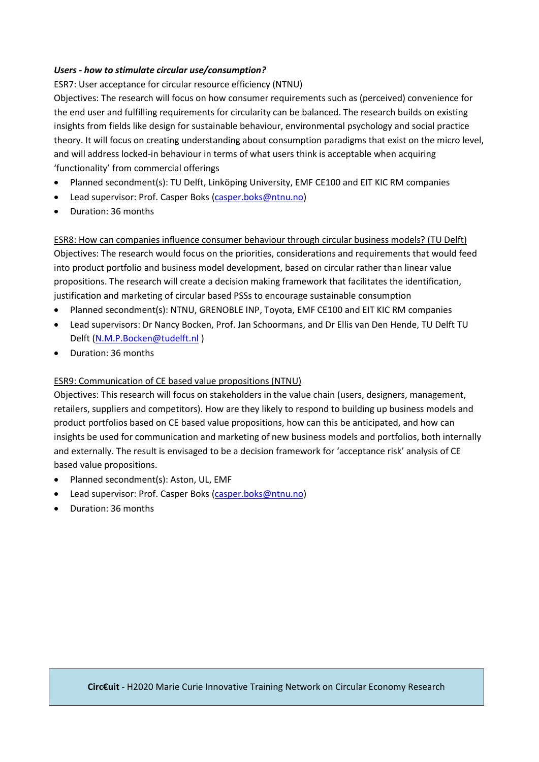### *Users - how to stimulate circular use/consumption?*

ESR7: User acceptance for circular resource efficiency (NTNU)

Objectives: The research will focus on how consumer requirements such as (perceived) convenience for the end user and fulfilling requirements for circularity can be balanced. The research builds on existing insights from fields like design for sustainable behaviour, environmental psychology and social practice theory. It will focus on creating understanding about consumption paradigms that exist on the micro level, and will address locked-in behaviour in terms of what users think is acceptable when acquiring 'functionality' from commercial offerings

- Planned secondment(s): TU Delft, Linköping University, EMF CE100 and EIT KIC RM companies
- Lead supervisor: Prof. Casper Boks [\(casper.boks@ntnu.no\)](mailto:casper.boks@ntnu.no)
- Duration: 36 months

ESR8: How can companies influence consumer behaviour through circular business models? (TU Delft) Objectives: The research would focus on the priorities, considerations and requirements that would feed into product portfolio and business model development, based on circular rather than linear value propositions. The research will create a decision making framework that facilitates the identification, justification and marketing of circular based PSSs to encourage sustainable consumption

- Planned secondment(s): NTNU, GRENOBLE INP, Toyota, EMF CE100 and EIT KIC RM companies
- Lead supervisors: Dr Nancy Bocken, Prof. Jan Schoormans, and Dr Ellis van Den Hende, TU Delft TU Delft [\(N.M.P.Bocken@tudelft.nl](mailto:N.M.P.Bocken@tudelft.nl) )
- Duration: 36 months

### ESR9: Communication of CE based value propositions (NTNU)

Objectives: This research will focus on stakeholders in the value chain (users, designers, management, retailers, suppliers and competitors). How are they likely to respond to building up business models and product portfolios based on CE based value propositions, how can this be anticipated, and how can insights be used for communication and marketing of new business models and portfolios, both internally and externally. The result is envisaged to be a decision framework for 'acceptance risk' analysis of CE based value propositions.

- Planned secondment(s): Aston, UL, EMF
- Lead supervisor: Prof. Casper Boks [\(casper.boks@ntnu.no\)](mailto:casper.boks@ntnu.no)
- Duration: 36 months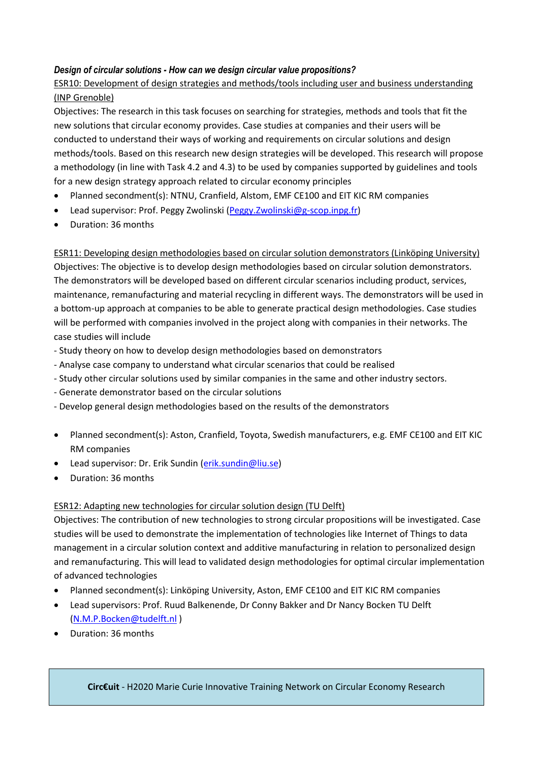### *Design of circular solutions - How can we design circular value propositions?*

# ESR10: Development of design strategies and methods/tools including user and business understanding (INP Grenoble)

Objectives: The research in this task focuses on searching for strategies, methods and tools that fit the new solutions that circular economy provides. Case studies at companies and their users will be conducted to understand their ways of working and requirements on circular solutions and design methods/tools. Based on this research new design strategies will be developed. This research will propose a methodology (in line with Task 4.2 and 4.3) to be used by companies supported by guidelines and tools for a new design strategy approach related to circular economy principles

- Planned secondment(s): NTNU, Cranfield, Alstom, EMF CE100 and EIT KIC RM companies
- Lead supervisor: Prof. Peggy Zwolinski [\(Peggy.Zwolinski@g-scop.inpg.fr\)](mailto:Peggy.Zwolinski@g-scop.inpg.fr)
- Duration: 36 months

ESR11: Developing design methodologies based on circular solution demonstrators (Linköping University) Objectives: The objective is to develop design methodologies based on circular solution demonstrators. The demonstrators will be developed based on different circular scenarios including product, services, maintenance, remanufacturing and material recycling in different ways. The demonstrators will be used in a bottom-up approach at companies to be able to generate practical design methodologies. Case studies will be performed with companies involved in the project along with companies in their networks. The case studies will include

- Study theory on how to develop design methodologies based on demonstrators
- Analyse case company to understand what circular scenarios that could be realised
- Study other circular solutions used by similar companies in the same and other industry sectors.
- Generate demonstrator based on the circular solutions
- Develop general design methodologies based on the results of the demonstrators
- Planned secondment(s): Aston, Cranfield, Toyota, Swedish manufacturers, e.g. EMF CE100 and EIT KIC RM companies
- Lead supervisor: Dr. Erik Sundin [\(erik.sundin@liu.se\)](mailto:erik.sundin@liu.se)
- Duration: 36 months

### ESR12: Adapting new technologies for circular solution design (TU Delft)

Objectives: The contribution of new technologies to strong circular propositions will be investigated. Case studies will be used to demonstrate the implementation of technologies like Internet of Things to data management in a circular solution context and additive manufacturing in relation to personalized design and remanufacturing. This will lead to validated design methodologies for optimal circular implementation of advanced technologies

- Planned secondment(s): Linköping University, Aston, EMF CE100 and EIT KIC RM companies
- Lead supervisors: Prof. Ruud Balkenende, Dr Conny Bakker and Dr Nancy Bocken TU Delft [\(N.M.P.Bocken@tudelft.nl \)](mailto:N.M.P.Bocken@tudelft.nl)
- Duration: 36 months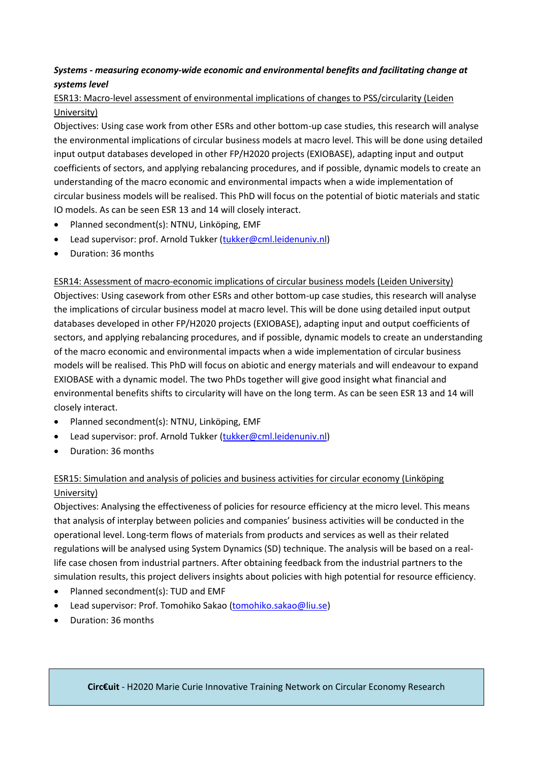# *Systems - measuring economy-wide economic and environmental benefits and facilitating change at systems level*

## ESR13: Macro-level assessment of environmental implications of changes to PSS/circularity (Leiden University)

Objectives: Using case work from other ESRs and other bottom-up case studies, this research will analyse the environmental implications of circular business models at macro level. This will be done using detailed input output databases developed in other FP/H2020 projects (EXIOBASE), adapting input and output coefficients of sectors, and applying rebalancing procedures, and if possible, dynamic models to create an understanding of the macro economic and environmental impacts when a wide implementation of circular business models will be realised. This PhD will focus on the potential of biotic materials and static IO models. As can be seen ESR 13 and 14 will closely interact.

- Planned secondment(s): NTNU, Linköping, EMF
- Lead supervisor: prof. Arnold Tukker [\(tukker@cml.leidenuniv.nl\)](mailto:tukker@cml.leidenuniv.nl)
- Duration: 36 months

ESR14: Assessment of macro-economic implications of circular business models (Leiden University) Objectives: Using casework from other ESRs and other bottom-up case studies, this research will analyse the implications of circular business model at macro level. This will be done using detailed input output databases developed in other FP/H2020 projects (EXIOBASE), adapting input and output coefficients of sectors, and applying rebalancing procedures, and if possible, dynamic models to create an understanding of the macro economic and environmental impacts when a wide implementation of circular business models will be realised. This PhD will focus on abiotic and energy materials and will endeavour to expand EXIOBASE with a dynamic model. The two PhDs together will give good insight what financial and environmental benefits shifts to circularity will have on the long term. As can be seen ESR 13 and 14 will closely interact.

- Planned secondment(s): NTNU, Linköping, EMF
- Lead supervisor: prof. Arnold Tukker [\(tukker@cml.leidenuniv.nl\)](mailto:tukker@cml.leidenuniv.nl)
- Duration: 36 months

# ESR15: Simulation and analysis of policies and business activities for circular economy (Linköping University)

Objectives: Analysing the effectiveness of policies for resource efficiency at the micro level. This means that analysis of interplay between policies and companies' business activities will be conducted in the operational level. Long-term flows of materials from products and services as well as their related regulations will be analysed using System Dynamics (SD) technique. The analysis will be based on a reallife case chosen from industrial partners. After obtaining feedback from the industrial partners to the simulation results, this project delivers insights about policies with high potential for resource efficiency.

- Planned secondment(s): TUD and EMF
- Lead supervisor: Prof. Tomohiko Sakao [\(tomohiko.sakao@liu.se\)](mailto:tomohiko.sakao@liu.se)
- Duration: 36 months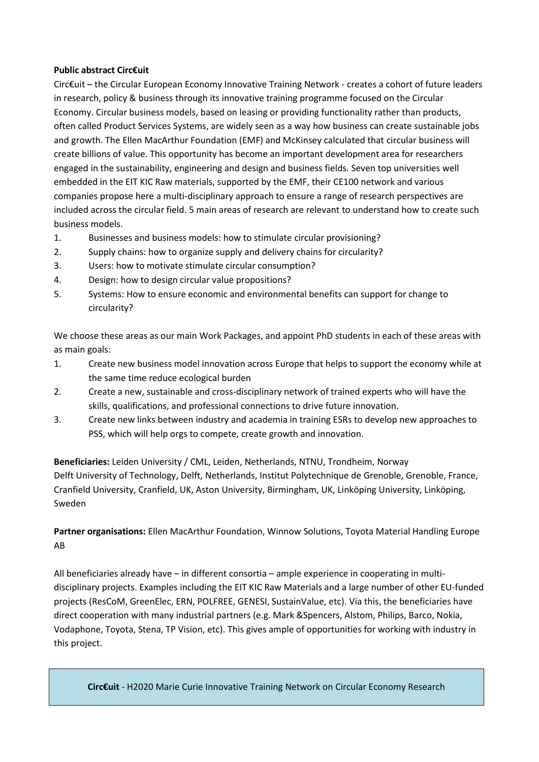#### **Public abstract Circ€uit**

Circ€uit – the Circular European Economy Innovative Training Network - creates a cohort of future leaders in research, policy & business through its innovative training programme focused on the Circular Economy. Circular business models, based on leasing or providing functionality rather than products, often called Product Services Systems, are widely seen as a way how business can create sustainable jobs and growth. The Ellen MacArthur Foundation (EMF) and McKinsey calculated that circular business will create billions of value. This opportunity has become an important development area for researchers engaged in the sustainability, engineering and design and business fields. Seven top universities well embedded in the EIT KIC Raw materials, supported by the EMF, their CE100 network and various companies propose here a multi-disciplinary approach to ensure a range of research perspectives are included across the circular field. 5 main areas of research are relevant to understand how to create such business models.

- 1. Businesses and business models: how to stimulate circular provisioning?
- 2. Supply chains: how to organize supply and delivery chains for circularity?
- 3. Users: how to motivate stimulate circular consumption?
- 4. Design: how to design circular value propositions?
- 5. Systems: How to ensure economic and environmental benefits can support for change to circularity?

We choose these areas as our main Work Packages, and appoint PhD students in each of these areas with as main goals:

- 1. Create new business model innovation across Europe that helps to support the economy while at the same time reduce ecological burden
- 2. Create a new, sustainable and cross-disciplinary network of trained experts who will have the skills, qualifications, and professional connections to drive future innovation.
- 3. Create new links between industry and academia in training ESRs to develop new approaches to PSS, which will help orgs to compete, create growth and innovation.

**Beneficiaries:** Leiden University / CML, Leiden, Netherlands, NTNU, Trondheim, Norway Delft University of Technology, Delft, Netherlands, Institut Polytechnique de Grenoble, Grenoble, France, Cranfield University, Cranfield, UK, Aston University, Birmingham, UK, Linköping University, Linköping, Sweden

# **Partner organisations:** Ellen MacArthur Foundation, Winnow Solutions, Toyota Material Handling Europe AB

All beneficiaries already have – in different consortia – ample experience in cooperating in multidisciplinary projects. Examples including the EIT KIC Raw Materials and a large number of other EU-funded projects (ResCoM, GreenElec, ERN, POLFREE, GENESI, SustainValue, etc). Via this, the beneficiaries have direct cooperation with many industrial partners (e.g. Mark &Spencers, Alstom, Philips, Barco, Nokia, Vodaphone, Toyota, Stena, TP Vision, etc). This gives ample of opportunities for working with industry in this project.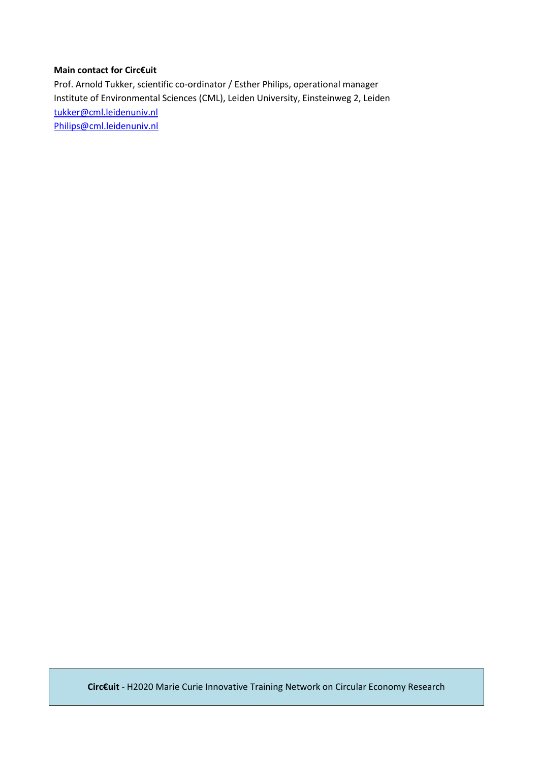### **Main contact for Circ€uit**

Prof. Arnold Tukker, scientific co-ordinator / Esther Philips, operational manager Institute of Environmental Sciences (CML), Leiden University, Einsteinweg 2, Leiden [tukker@cml.leidenuniv.nl](mailto:tukker@cml.leidenuniv.nl) [Philips@cml.leidenuniv.nl](mailto:Philips@cml.leidenuniv.nl)